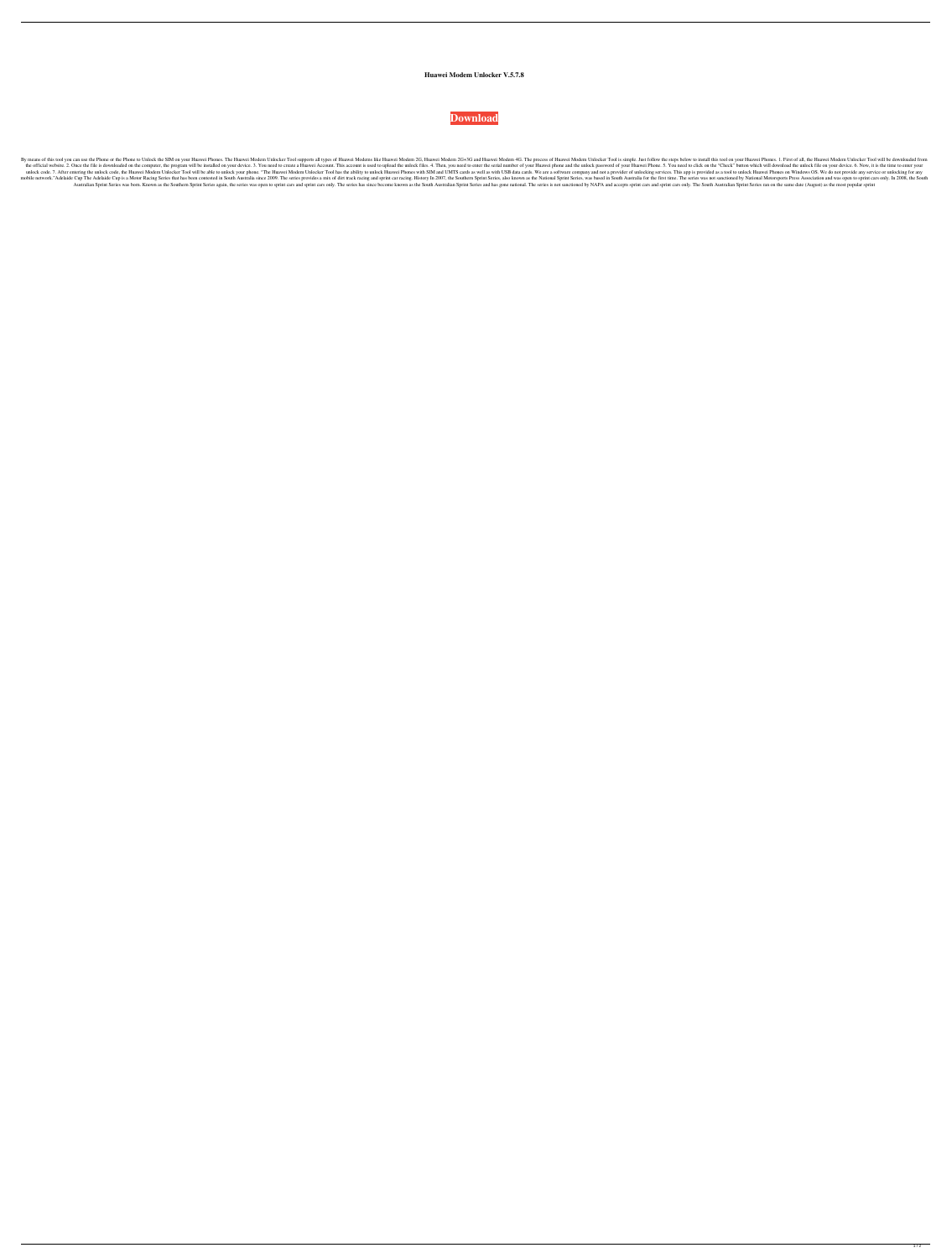## **Huawei Modem Unlocker V.5.7.8**



By means of this tool you can use the Phone or the Phone to Unlock the SIM on your Huawei Phones. The Huawei Phones. The Huawei Modem Unlocker Tool supports all types of Huawei Modem 2G, Huawei Modem Unlocker Tool is simpl the official website. 2. Once the file is downloaded on the computer, the program will be installed on your device. 3. You need to create a Huawei Account. This account is used to upload the unlock files. 4. Then, you need unlock code. 7. After entering the unlock code, the Huawei Modem Unlocker Tool will be able to unlock your phone. "The Huawei Modem Unlocker Tool has the ability to unlock Huawei Phones with SIM and UMTS cards as well as w mobile network."Adelaide Cup The Adelaide Cup is a Motor Racing Series that has been contested in South Australia since 2009. The series provides a mix of dirt track racing and sprint Car racing. History In 2007, the South Australian Sprint Series was born. Known as the Southern Sprint Series again, the series again, the series was open to sprint cars and sprint cars only. The series has since become known as the South Australian Sprint cars